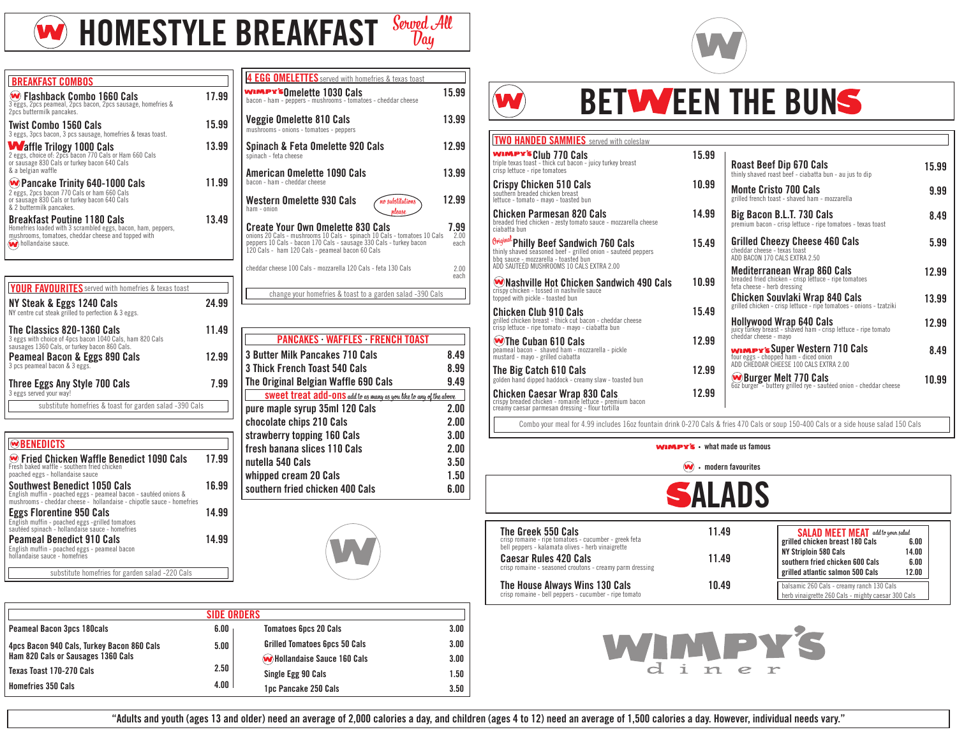

**HOMESTYLE BREAKFAST** Served All

| <b>BREAKFAST COMBOS</b>                                                                                                                                                         |       |
|---------------------------------------------------------------------------------------------------------------------------------------------------------------------------------|-------|
| W Flashback Combo 1660 Cals<br>3 eggs, 2pcs peameal, 2pcs bacon, 2pcs sausage, homefries &<br>2pcs buttermilk pancakes.                                                         | 17.99 |
| <b>Twist Combo 1560 Cals</b><br>3 eggs, 3pcs bacon, 3 pcs sausage, homefries & texas toast.                                                                                     | 15.99 |
| <b>Waffle Trilogy 1000 Cals</b><br>2 eggs, choice of: 2pcs bacon 770 Cals or Ham 660 Cals<br>or sausage 830 Cals or turkey bacon 640 Cals<br>& a belgian waffle                 | 13.99 |
| <b>W</b> Pancake Trinity 640-1000 Cals<br>2 eggs, 2pcs bacon 770 Cals or ham 660 Cals<br>or sausage 830 Cals or turkey bacon 640 Cals<br>& 2 buttermilk pancakes.               | 11.99 |
| <b>Breakfast Poutine 1180 Cals</b><br>Homefries loaded with 3 scrambled eggs, bacon, ham, peppers,<br>mushrooms, tomatoes, cheddar cheese and topped with<br>hollandaise sauce. | 13.49 |

| <b>YOUR FAVOURITES</b> served with homefries & texas toast                                                                              |       |
|-----------------------------------------------------------------------------------------------------------------------------------------|-------|
| NY Steak & Eggs 1240 Cals<br>NY centre cut steak grilled to perfection & 3 eggs.                                                        | 24.99 |
| The Classics 820-1360 Cals<br>3 eggs with choice of 4pcs bacon 1040 Cals, ham 820 Cals<br>sausages 1360 Cals, or turkey bacon 860 Cals. | 11.49 |
| <b>Peameal Bacon &amp; Eggs 890 Cals</b><br>3 pcs peameal bacon & 3 eggs.                                                               | 12.99 |
| Three Eggs Any Style 700 Cals<br>3 eggs served your way!                                                                                | 7.99  |
| substitute homefries & toast for garden salad -390 Cals                                                                                 |       |

| WBENEDICTS                                                                                                                                                                       |       |
|----------------------------------------------------------------------------------------------------------------------------------------------------------------------------------|-------|
| <b> • Fried Chicken Waffle Benedict 1090 Cals</b><br>Fresh baked waffle - southern fried chicken<br>poached eggs - hollandaise sauce                                             | 17.99 |
| <b>Southwest Benedict 1050 Cals</b><br>English muffin - poached eggs - peameal bacon - sautéed onions &<br>mushrooms - cheddar cheese - hollandaise - chipotle sauce - homefries | 16.99 |
| <b>Eggs Florentine 950 Cals</b><br>English muffin - poached eggs -grilled tomatoes<br>sautéed spinach - hollandaise sauce - homefries                                            | 14.99 |
| <b>Peameal Benedict 910 Cals</b><br>English muffin - poached eggs - peameal bacon<br>hollandaise sauce - homefries                                                               | 14.99 |
| substitute homefries for garden salad -220 Cals                                                                                                                                  |       |

| 4 EGG OMELETTES served with homefries & texas toast<br>wimPr's0melette 1030 Cals<br>bacon - ham - peppers - mushrooms - tomatoes - cheddar cheese                                                                                            | 15.99                |
|----------------------------------------------------------------------------------------------------------------------------------------------------------------------------------------------------------------------------------------------|----------------------|
| Veggie Omelette 810 Cals<br>mushrooms - onions - tomatoes - peppers                                                                                                                                                                          | 13.99                |
| Spinach & Feta Omelette 920 Cals<br>spinach - feta cheese                                                                                                                                                                                    | 12.99                |
| <b>American Omelette 1090 Cals</b><br>bacon - ham - cheddar cheese                                                                                                                                                                           | 13.99                |
| Western Omelette 930 Cals<br>no substitutions<br>ham - onion<br>nlease                                                                                                                                                                       | 12.99                |
| <b>Create Your Own Omelette 830 Cals</b><br>onions 20 Cals - mushrooms 10 Cals - spinach 10 Cals - tomatoes 10 Cals<br>peppers 10 Cals - bacon 170 Cals - sausage 330 Cals - turkey bacon<br>120 Cals - ham 120 Cals - peameal bacon 60 Cals | 7.99<br>2.00<br>each |
| cheddar cheese 100 Cals - mozzarella 120 Cals - feta 130 Cals                                                                                                                                                                                | 200<br>each          |
| change your homefries & toast to a garden salad -390 Cals                                                                                                                                                                                    |                      |

| <b>PANCAKES WAFFLES FRENCH TOAST</b>                               |      |
|--------------------------------------------------------------------|------|
| 3 Butter Milk Pancakes 710 Cals                                    | 8.49 |
| 3 Thick French Toast 540 Cals                                      | 8.99 |
| The Original Belgian Waffle 690 Cals                               | 9.49 |
| SWEET Treat add-ons add to as many as you like to any of the above |      |
| pure maple syrup 35ml 120 Cals                                     | 2.00 |
| chocolate chips 210 Cals                                           | 2.00 |
| strawberry topping 160 Cals                                        | 3.00 |
| fresh banana slices 110 Cals                                       | 2.00 |
| nutella 540 Cals                                                   | 3.50 |
| whipped cream 20 Cals                                              | 1.50 |
| southern fried chicken 400 Cals                                    | 6.00 |



| <b>SIDE ORDERS</b>                         |      |                                      |      |  |
|--------------------------------------------|------|--------------------------------------|------|--|
| <b>Peameal Bacon 3pcs 180cals</b>          | 6.00 | <b>Tomatoes 6pcs 20 Cals</b>         | 3.00 |  |
| 4pcs Bacon 940 Cals, Turkey Bacon 860 Cals | 5.00 | <b>Grilled Tomatoes 6pcs 50 Cals</b> | 3.00 |  |
| Ham 820 Cals or Sausages 1360 Cals         |      | <b>W</b> Hollandaise Sauce 160 Cals  | 3.00 |  |
| Texas Toast 170-270 Cals                   | 2.50 | Single Egg 90 Cals                   | 1.50 |  |
| <b>Homefries 350 Cals</b>                  | 4.00 | 1pc Pancake 250 Cals                 | 3.50 |  |





## **BETWEEN THE BUNS**

| <b>TWO HANDED SAMMIES</b> served with coleslaw                                                                                                      |       |                                                                                                                                                             |                |
|-----------------------------------------------------------------------------------------------------------------------------------------------------|-------|-------------------------------------------------------------------------------------------------------------------------------------------------------------|----------------|
| wimpy's Club 770 Cals<br>triple texas toast - thick cut bacon - juicy turkey breast<br>crisp lettuce - ripe tomatoes                                | 15.99 | Roast Beef Dip 670 Cals<br>thinly shaved roast beef - ciabatta bun - au jus to dip                                                                          | 15.99          |
| <b>Crispy Chicken 510 Cals</b><br>southern breaded chicken breast<br>lettuce - tomato - mayo - toasted bun                                          | 10.99 | <b>Monte Cristo 700 Cals</b><br>grilled french toast - shaved ham - mozzarella                                                                              | 9.99           |
| <b>Chicken Parmesan 820 Cals</b><br>breaded fried chicken - zesty tomato sauce - mozzarella cheese<br>ciabatta bun                                  | 14.99 | Big Bacon B.L.T. 730 Cals<br>premium bacon - crisp lettuce - ripe tomatoes - texas toast                                                                    | 8.49           |
| Original Philly Beef Sandwich 760 Cals<br>thinly shaved seasoned beef - grilled onion - sauteéd peppers<br>bbq sauce - mozzarella - toasted bun     | 15.49 | <b>Grilled Cheezy Cheese 460 Cals</b><br>cheddar cheese - texas toast<br>ADD BACON 170 CALS EXTRA 2.50                                                      | 5.99           |
| ADD SAUTEÉD MUSHROOMS 10 CALS EXTRA 2.00<br>Whashville Hot Chicken Sandwich 490 Cals<br>crispy chicken - tossed in nashville sauce                  | 10.99 | <b>Mediterranean Wrap 860 Cals</b><br>breaded fried chicken - crisp lettuce - ripe tomatoes<br>feta cheese - herb dressing                                  | 12.99          |
| topped with pickle - toasted bun<br><b>Chicken Club 910 Cals</b><br>grilled chicken breast - thick cut bacon - cheddar cheese                       | 15.49 | Chicken Souvlaki Wrap 840 Cals<br>grilled chicken - crisp lettuce - ripe tomatoes - onions - tzatziki                                                       | 13.99<br>12.99 |
| crisp lettuce - ripe tomato - mayo - ciabatta bun<br>Whe Cuban 610 Cals<br>peameal bacon - shaved ham - mozzarella - pickle                         | 12.99 | <b>Hollywood Wrap 640 Cals</b><br>juicy turkey breast - shaved ham - crisp lettuce - ripe tomato<br>cheddar cheese - mayo<br>WIMPY's Super Western 710 Cals | 8.49           |
| mustard - mayo - grilled ciabatta<br>The Big Catch 610 Cals<br>golden hand dipped haddock - creamy slaw - toasted bun                               | 12.99 | four eggs - chopped ham - diced onion<br>ADD CHEDDAR CHEESE 100 CALS EXTRA 2.00                                                                             | 10.99          |
| <b>Chicken Caesar Wrap 830 Cals</b><br>crispy breaded chicken - romaine lettuce - premium bacon<br>creamy caesar parmesan dressing - flour tortilla | 12.99 | <b>WBurger Melt 770 Cals</b><br>602 burger - buttery grilled rye - sautéed onion - cheddar cheese                                                           |                |

Combo your meal for 4.99 includes 16oz fountain drink 0-270 Cals & fries 470 Cals or soup 150-400 Cals or a side house salad 150 Cals







| The Greek 550 Cals                                                                      | 11.49 | <b>SALAD MEET MEAT</b> add to your salad                                                        |       |
|-----------------------------------------------------------------------------------------|-------|-------------------------------------------------------------------------------------------------|-------|
| crisp romaine - ripe tomatoes - cucumber - greek feta                                   |       | grilled chicken breast 180 Cals                                                                 | 6.00  |
| bell peppers - kalamata olives - herb vinaigrette                                       |       | NY Striploin 580 Cals                                                                           | 14.00 |
| Caesar Rules 420 Cals                                                                   | 11.49 | southern fried chicken 600 Cals                                                                 | 6.00  |
| crisp romaine - seasoned croutons - creamy parm dressing                                |       | grilled atlantic salmon 500 Cals                                                                | 12.00 |
| The House Always Wins 130 Cals<br>crisp romaine - bell peppers - cucumber - ripe tomato | 10.49 | balsamic 260 Cals - creamy ranch 130 Cals<br>herb vinaigrette 260 Cals - mighty caesar 300 Cals |       |



**"Adults and youth (ages 13 and older) need an average of 2,000 calories a day, and children (ages 4 to 12) need an average of 1,500 calories a day. However, individual needs vary."**